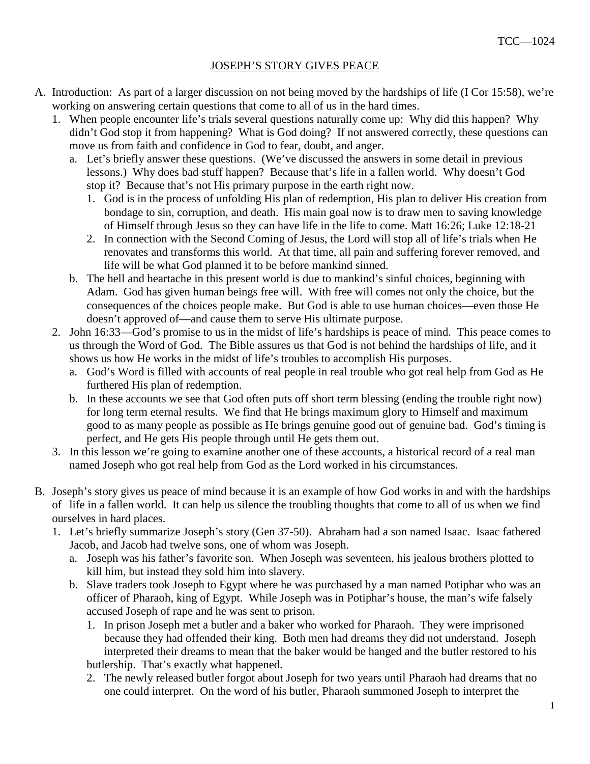## JOSEPH'S STORY GIVES PEACE

- A. Introduction: As part of a larger discussion on not being moved by the hardships of life (I Cor 15:58), we're working on answering certain questions that come to all of us in the hard times.
	- 1. When people encounter life's trials several questions naturally come up: Why did this happen? Why didn't God stop it from happening? What is God doing? If not answered correctly, these questions can move us from faith and confidence in God to fear, doubt, and anger.
		- a. Let's briefly answer these questions. (We've discussed the answers in some detail in previous lessons.) Why does bad stuff happen? Because that's life in a fallen world. Why doesn't God stop it? Because that's not His primary purpose in the earth right now.
			- 1. God is in the process of unfolding His plan of redemption, His plan to deliver His creation from bondage to sin, corruption, and death. His main goal now is to draw men to saving knowledge of Himself through Jesus so they can have life in the life to come. Matt 16:26; Luke 12:18-21
			- 2. In connection with the Second Coming of Jesus, the Lord will stop all of life's trials when He renovates and transforms this world. At that time, all pain and suffering forever removed, and life will be what God planned it to be before mankind sinned.
		- b. The hell and heartache in this present world is due to mankind's sinful choices, beginning with Adam. God has given human beings free will. With free will comes not only the choice, but the consequences of the choices people make. But God is able to use human choices—even those He doesn't approved of—and cause them to serve His ultimate purpose.
	- 2. John 16:33—God's promise to us in the midst of life's hardships is peace of mind. This peace comes to us through the Word of God. The Bible assures us that God is not behind the hardships of life, and it shows us how He works in the midst of life's troubles to accomplish His purposes.
		- a. God's Word is filled with accounts of real people in real trouble who got real help from God as He furthered His plan of redemption.
		- b. In these accounts we see that God often puts off short term blessing (ending the trouble right now) for long term eternal results. We find that He brings maximum glory to Himself and maximum good to as many people as possible as He brings genuine good out of genuine bad. God's timing is perfect, and He gets His people through until He gets them out.
	- 3. In this lesson we're going to examine another one of these accounts, a historical record of a real man named Joseph who got real help from God as the Lord worked in his circumstances.
- B. Joseph's story gives us peace of mind because it is an example of how God works in and with the hardships of life in a fallen world. It can help us silence the troubling thoughts that come to all of us when we find ourselves in hard places.
	- 1. Let's briefly summarize Joseph's story (Gen 37-50). Abraham had a son named Isaac. Isaac fathered Jacob, and Jacob had twelve sons, one of whom was Joseph.
		- a. Joseph was his father's favorite son. When Joseph was seventeen, his jealous brothers plotted to kill him, but instead they sold him into slavery.
		- b. Slave traders took Joseph to Egypt where he was purchased by a man named Potiphar who was an officer of Pharaoh, king of Egypt. While Joseph was in Potiphar's house, the man's wife falsely accused Joseph of rape and he was sent to prison.
			- 1. In prison Joseph met a butler and a baker who worked for Pharaoh. They were imprisoned because they had offended their king. Both men had dreams they did not understand. Joseph interpreted their dreams to mean that the baker would be hanged and the butler restored to his butlership. That's exactly what happened.
			- 2. The newly released butler forgot about Joseph for two years until Pharaoh had dreams that no one could interpret. On the word of his butler, Pharaoh summoned Joseph to interpret the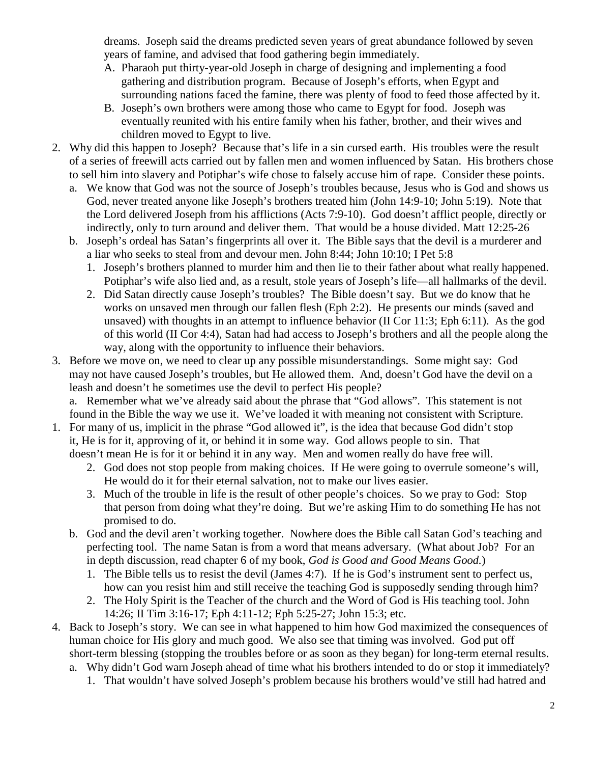dreams. Joseph said the dreams predicted seven years of great abundance followed by seven years of famine, and advised that food gathering begin immediately.

- A. Pharaoh put thirty-year-old Joseph in charge of designing and implementing a food gathering and distribution program. Because of Joseph's efforts, when Egypt and surrounding nations faced the famine, there was plenty of food to feed those affected by it.
- B. Joseph's own brothers were among those who came to Egypt for food. Joseph was eventually reunited with his entire family when his father, brother, and their wives and children moved to Egypt to live.
- 2. Why did this happen to Joseph? Because that's life in a sin cursed earth. His troubles were the result of a series of freewill acts carried out by fallen men and women influenced by Satan. His brothers chose to sell him into slavery and Potiphar's wife chose to falsely accuse him of rape. Consider these points.
	- a. We know that God was not the source of Joseph's troubles because, Jesus who is God and shows us God, never treated anyone like Joseph's brothers treated him (John 14:9-10; John 5:19). Note that the Lord delivered Joseph from his afflictions (Acts 7:9-10). God doesn't afflict people, directly or indirectly, only to turn around and deliver them. That would be a house divided. Matt 12:25-26
	- b. Joseph's ordeal has Satan's fingerprints all over it. The Bible says that the devil is a murderer and a liar who seeks to steal from and devour men. John 8:44; John 10:10; I Pet 5:8
		- 1. Joseph's brothers planned to murder him and then lie to their father about what really happened. Potiphar's wife also lied and, as a result, stole years of Joseph's life—all hallmarks of the devil.
		- 2. Did Satan directly cause Joseph's troubles? The Bible doesn't say. But we do know that he works on unsaved men through our fallen flesh (Eph 2:2). He presents our minds (saved and unsaved) with thoughts in an attempt to influence behavior (II Cor 11:3; Eph 6:11). As the god of this world (II Cor 4:4), Satan had had access to Joseph's brothers and all the people along the way, along with the opportunity to influence their behaviors.
- 3. Before we move on, we need to clear up any possible misunderstandings. Some might say: God may not have caused Joseph's troubles, but He allowed them. And, doesn't God have the devil on a leash and doesn't he sometimes use the devil to perfect His people?

 a. Remember what we've already said about the phrase that "God allows". This statement is not found in the Bible the way we use it. We've loaded it with meaning not consistent with Scripture.

- 1. For many of us, implicit in the phrase "God allowed it", is the idea that because God didn't stop it, He is for it, approving of it, or behind it in some way. God allows people to sin. That doesn't mean He is for it or behind it in any way. Men and women really do have free will.
	- 2. God does not stop people from making choices. If He were going to overrule someone's will, He would do it for their eternal salvation, not to make our lives easier.
	- 3. Much of the trouble in life is the result of other people's choices. So we pray to God: Stop that person from doing what they're doing. But we're asking Him to do something He has not promised to do.
	- b. God and the devil aren't working together. Nowhere does the Bible call Satan God's teaching and perfecting tool. The name Satan is from a word that means adversary. (What about Job? For an in depth discussion, read chapter 6 of my book, *God is Good and Good Means Good.*)
		- 1. The Bible tells us to resist the devil (James 4:7). If he is God's instrument sent to perfect us, how can you resist him and still receive the teaching God is supposedly sending through him?
		- 2. The Holy Spirit is the Teacher of the church and the Word of God is His teaching tool. John 14:26; II Tim 3:16-17; Eph 4:11-12; Eph 5:25-27; John 15:3; etc.
- 4. Back to Joseph's story. We can see in what happened to him how God maximized the consequences of human choice for His glory and much good. We also see that timing was involved. God put off short-term blessing (stopping the troubles before or as soon as they began) for long-term eternal results. a. Why didn't God warn Joseph ahead of time what his brothers intended to do or stop it immediately?
	- 1. That wouldn't have solved Joseph's problem because his brothers would've still had hatred and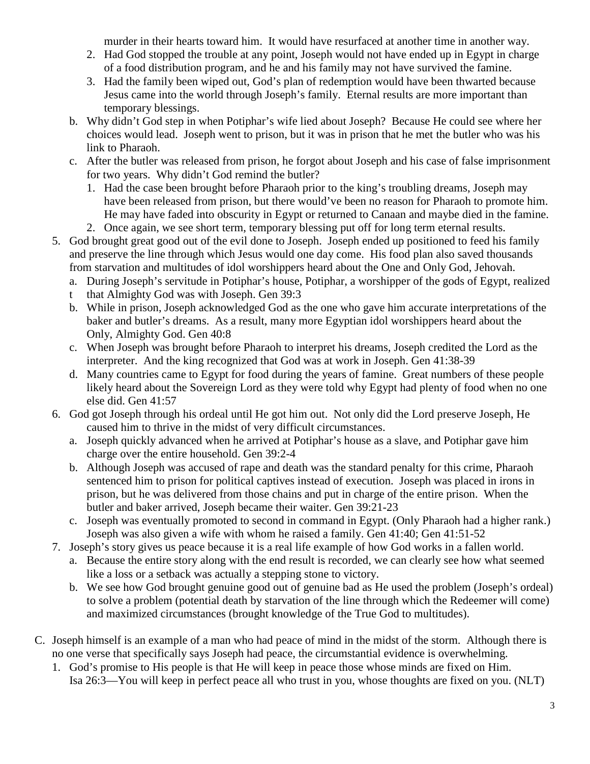murder in their hearts toward him. It would have resurfaced at another time in another way.

- 2. Had God stopped the trouble at any point, Joseph would not have ended up in Egypt in charge of a food distribution program, and he and his family may not have survived the famine.
- 3. Had the family been wiped out, God's plan of redemption would have been thwarted because Jesus came into the world through Joseph's family. Eternal results are more important than temporary blessings.
- b. Why didn't God step in when Potiphar's wife lied about Joseph? Because He could see where her choices would lead. Joseph went to prison, but it was in prison that he met the butler who was his link to Pharaoh.
- c. After the butler was released from prison, he forgot about Joseph and his case of false imprisonment for two years. Why didn't God remind the butler?
	- 1. Had the case been brought before Pharaoh prior to the king's troubling dreams, Joseph may have been released from prison, but there would've been no reason for Pharaoh to promote him. He may have faded into obscurity in Egypt or returned to Canaan and maybe died in the famine.
	- 2. Once again, we see short term, temporary blessing put off for long term eternal results.
- 5. God brought great good out of the evil done to Joseph. Joseph ended up positioned to feed his family and preserve the line through which Jesus would one day come. His food plan also saved thousands from starvation and multitudes of idol worshippers heard about the One and Only God, Jehovah.
	- a. During Joseph's servitude in Potiphar's house, Potiphar, a worshipper of the gods of Egypt, realized
	- t that Almighty God was with Joseph. Gen 39:3
	- b. While in prison, Joseph acknowledged God as the one who gave him accurate interpretations of the baker and butler's dreams. As a result, many more Egyptian idol worshippers heard about the Only, Almighty God. Gen 40:8
	- c. When Joseph was brought before Pharaoh to interpret his dreams, Joseph credited the Lord as the interpreter. And the king recognized that God was at work in Joseph. Gen 41:38-39
	- d. Many countries came to Egypt for food during the years of famine. Great numbers of these people likely heard about the Sovereign Lord as they were told why Egypt had plenty of food when no one else did. Gen 41:57
- 6. God got Joseph through his ordeal until He got him out. Not only did the Lord preserve Joseph, He caused him to thrive in the midst of very difficult circumstances.
	- a. Joseph quickly advanced when he arrived at Potiphar's house as a slave, and Potiphar gave him charge over the entire household. Gen 39:2-4
	- b. Although Joseph was accused of rape and death was the standard penalty for this crime, Pharaoh sentenced him to prison for political captives instead of execution. Joseph was placed in irons in prison, but he was delivered from those chains and put in charge of the entire prison. When the butler and baker arrived, Joseph became their waiter. Gen 39:21-23
	- c. Joseph was eventually promoted to second in command in Egypt. (Only Pharaoh had a higher rank.) Joseph was also given a wife with whom he raised a family. Gen 41:40; Gen 41:51-52
- 7. Joseph's story gives us peace because it is a real life example of how God works in a fallen world.
	- a. Because the entire story along with the end result is recorded, we can clearly see how what seemed like a loss or a setback was actually a stepping stone to victory.
	- b. We see how God brought genuine good out of genuine bad as He used the problem (Joseph's ordeal) to solve a problem (potential death by starvation of the line through which the Redeemer will come) and maximized circumstances (brought knowledge of the True God to multitudes).
- C. Joseph himself is an example of a man who had peace of mind in the midst of the storm. Although there is no one verse that specifically says Joseph had peace, the circumstantial evidence is overwhelming.
	- 1. God's promise to His people is that He will keep in peace those whose minds are fixed on Him. Isa 26:3—You will keep in perfect peace all who trust in you, whose thoughts are fixed on you. (NLT)